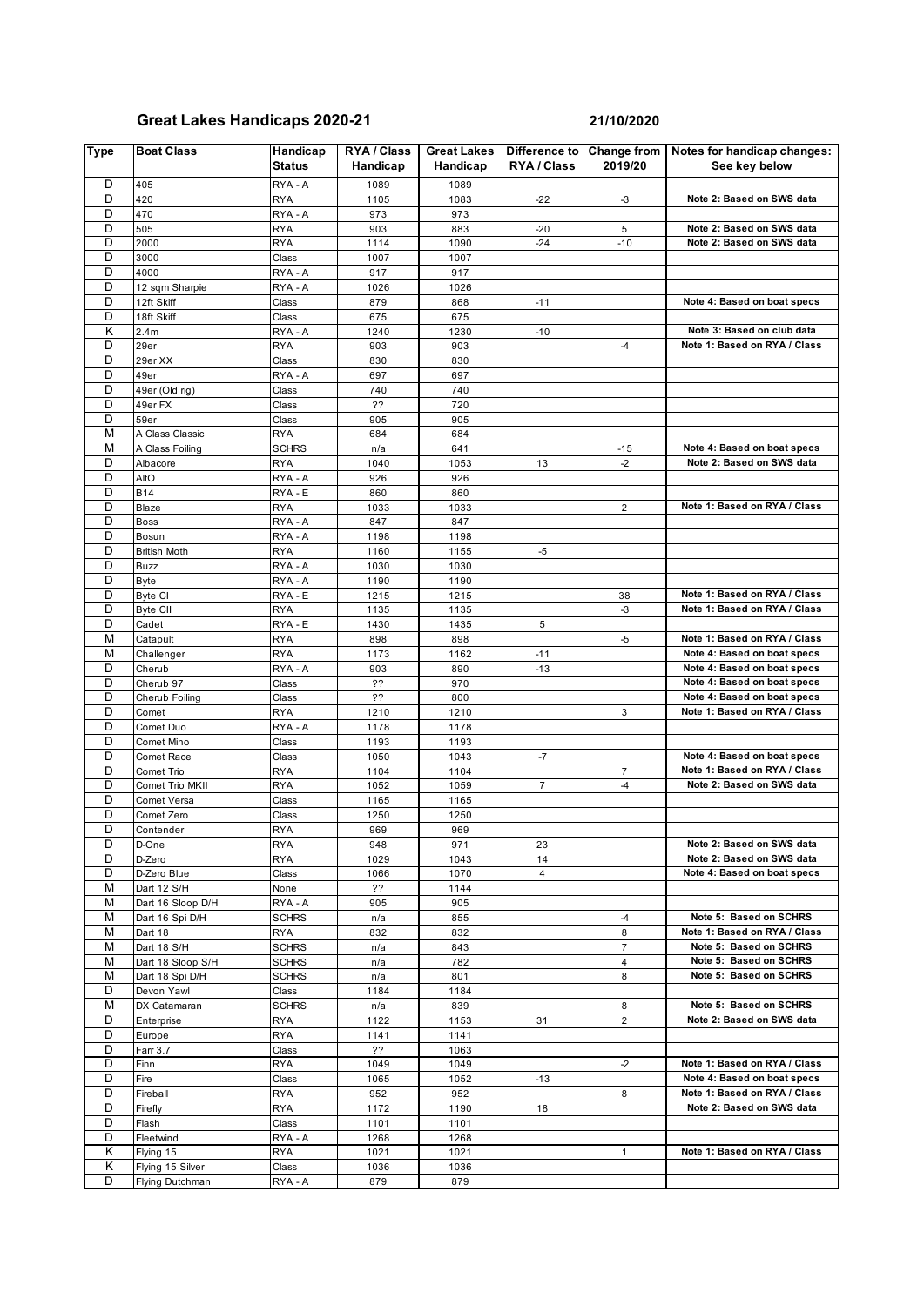## **Great Lakes Handicaps 2020-21 21/10/2020**

| <b>Type</b> | <b>Boat Class</b>      | Handicap<br>Status    | <b>RYA / Class</b><br>Handicap | <b>Great Lakes</b><br>Handicap | Difference to<br>RYA / Class | <b>Change from</b><br>2019/20 | Notes for handicap changes:<br>See key below                 |
|-------------|------------------------|-----------------------|--------------------------------|--------------------------------|------------------------------|-------------------------------|--------------------------------------------------------------|
| D           | 405                    | RYA - A               | 1089                           | 1089                           |                              |                               |                                                              |
| D           | 420                    | <b>RYA</b>            | 1105                           | 1083                           | $-22$                        | $-3$                          | Note 2: Based on SWS data                                    |
| D           | 470                    | RYA - A               | 973                            | 973                            |                              |                               |                                                              |
| D           | 505                    | <b>RYA</b>            | 903                            | 883                            | $-20$                        | 5                             | Note 2: Based on SWS data                                    |
| D           | 2000                   | <b>RYA</b>            | 1114                           | 1090                           | $-24$                        | $-10$                         | Note 2: Based on SWS data                                    |
| D           | 3000                   | Class                 | 1007                           | 1007                           |                              |                               |                                                              |
| D           | 4000                   | RYA - A               | 917                            | 917                            |                              |                               |                                                              |
| D           | 12 sqm Sharpie         | RYA - A               | 1026                           | 1026                           |                              |                               |                                                              |
| D<br>D      | 12ft Skiff             | Class                 | 879                            | 868                            | $-11$                        |                               | Note 4: Based on boat specs                                  |
| Κ           | 18ft Skiff<br>2.4m     | Class<br>RYA - A      | 675<br>1240                    | 675<br>1230                    | $-10$                        |                               | Note 3: Based on club data                                   |
| D           | 29er                   | <b>RYA</b>            | 903                            | 903                            |                              | $-4$                          | Note 1: Based on RYA / Class                                 |
| D           | 29er XX                | Class                 | 830                            | 830                            |                              |                               |                                                              |
| D           | 49er                   | RYA - A               | 697                            | 697                            |                              |                               |                                                              |
| D           | 49er (Old rig)         | Class                 | 740                            | 740                            |                              |                               |                                                              |
| D           | 49er FX                | Class                 | ??                             | 720                            |                              |                               |                                                              |
| D           | 59er                   | Class                 | 905                            | 905                            |                              |                               |                                                              |
| M           | A Class Classic        | <b>RYA</b>            | 684                            | 684                            |                              |                               |                                                              |
| M           | A Class Foiling        | <b>SCHRS</b>          | n/a                            | 641                            |                              | $-15$                         | Note 4: Based on boat specs                                  |
| D           | Albacore               | <b>RYA</b>            | 1040                           | 1053                           | 13                           | $-2$                          | Note 2: Based on SWS data                                    |
| D           | AltO                   | RYA - A               | 926                            | 926                            |                              |                               |                                                              |
| D           | <b>B14</b>             | RYA - E               | 860                            | 860                            |                              |                               |                                                              |
| D           | <b>Blaze</b>           | <b>RYA</b>            | 1033                           | 1033                           |                              | $\overline{2}$                | Note 1: Based on RYA / Class                                 |
| D           | <b>Boss</b>            | RYA - A               | 847                            | 847                            |                              |                               |                                                              |
| D           | Bosun                  | RYA - A               | 1198                           | 1198                           |                              |                               |                                                              |
| D           | <b>British Moth</b>    | <b>RYA</b>            | 1160                           | 1155                           | -5                           |                               |                                                              |
| D           | Buzz                   | RYA - A               | 1030                           | 1030                           |                              |                               |                                                              |
| D           | <b>Byte</b>            | RYA - A               | 1190                           | 1190                           |                              |                               |                                                              |
| D<br>D      | Byte CI                | RYA - E               | 1215                           | 1215                           |                              | 38<br>$-3$                    | Note 1: Based on RYA / Class<br>Note 1: Based on RYA / Class |
| D           | <b>Byte CII</b>        | <b>RYA</b>            | 1135                           | 1135                           |                              |                               |                                                              |
| M           | Cadet<br>Catapult      | RYA - E<br><b>RYA</b> | 1430<br>898                    | 1435<br>898                    | 5                            | -5                            | Note 1: Based on RYA / Class                                 |
| M           | Challenger             | <b>RYA</b>            | 1173                           | 1162                           | $-11$                        |                               | Note 4: Based on boat specs                                  |
| D           | Cherub                 | RYA - A               | 903                            | 890                            | $-13$                        |                               | Note 4: Based on boat specs                                  |
| D           | Cherub 97              | Class                 | ??                             | 970                            |                              |                               | Note 4: Based on boat specs                                  |
| D           | Cherub Foiling         | Class                 | ??                             | 800                            |                              |                               | Note 4: Based on boat specs                                  |
| D           | Comet                  | <b>RYA</b>            | 1210                           | 1210                           |                              | 3                             | Note 1: Based on RYA / Class                                 |
| D           | Comet Duo              | RYA - A               | 1178                           | 1178                           |                              |                               |                                                              |
| D           | Comet Mino             | Class                 | 1193                           | 1193                           |                              |                               |                                                              |
| D           | Comet Race             | Class                 | 1050                           | 1043                           | $-7$                         |                               | Note 4: Based on boat specs                                  |
| D           | Comet Trio             | <b>RYA</b>            | 1104                           | 1104                           |                              | 7                             | Note 1: Based on RYA / Class                                 |
| D           | Comet Trio MKII        | <b>RYA</b>            | 1052                           | 1059                           | $\overline{7}$               | $-4$                          | Note 2: Based on SWS data                                    |
| D           | Comet Versa            | Class                 | 1165                           | 1165                           |                              |                               |                                                              |
| D           | Comet Zero             | Class                 | 1250                           | 1250                           |                              |                               |                                                              |
| D           | Contender              | <b>RYA</b>            | 969                            | 969                            |                              |                               |                                                              |
| D           | D-One                  | <b>RYA</b>            | 948                            | 971                            | 23                           |                               | Note 2: Based on SWS data                                    |
| D           | D-Zero                 | <b>RYA</b>            | 1029                           | 1043                           | 14                           |                               | Note 2: Based on SWS data                                    |
| D           | D-Zero Blue            | Class                 | 1066                           | 1070                           | $\overline{4}$               |                               | Note 4: Based on boat specs                                  |
| M           | Dart 12 S/H            | None                  | ??                             | 1144                           |                              |                               |                                                              |
| м           | Dart 16 Sloop D/H      | RYA - A               | 905                            | 905                            |                              |                               | Note 5: Based on SCHRS                                       |
| M<br>M      | Dart 16 Spi D/H        | <b>SCHRS</b>          | n/a                            | 855                            |                              | $-4$<br>8                     | Note 1: Based on RYA / Class                                 |
| М           | Dart 18<br>Dart 18 S/H | RYA<br><b>SCHRS</b>   | 832<br>n/a                     | 832<br>843                     |                              | 7                             | Note 5: Based on SCHRS                                       |
| M           | Dart 18 Sloop S/H      | <b>SCHRS</b>          | n/a                            | 782                            |                              | 4                             | Note 5: Based on SCHRS                                       |
| M           | Dart 18 Spi D/H        | <b>SCHRS</b>          | n/a                            | 801                            |                              | 8                             | Note 5: Based on SCHRS                                       |
| D           | Devon Yawl             | Class                 | 1184                           | 1184                           |                              |                               |                                                              |
| M           | DX Catamaran           | <b>SCHRS</b>          | n/a                            | 839                            |                              | 8                             | Note 5: Based on SCHRS                                       |
| D           | Enterprise             | <b>RYA</b>            | 1122                           | 1153                           | 31                           | $\overline{2}$                | Note 2: Based on SWS data                                    |
| D           | Europe                 | <b>RYA</b>            | 1141                           | 1141                           |                              |                               |                                                              |
| D           | Farr 3.7               | Class                 | ??                             | 1063                           |                              |                               |                                                              |
| D           | Finn                   | <b>RYA</b>            | 1049                           | 1049                           |                              | $-2$                          | Note 1: Based on RYA / Class                                 |
| D           | Fire                   | Class                 | 1065                           | 1052                           | $-13$                        |                               | Note 4: Based on boat specs                                  |
| D           | Fireball               | <b>RYA</b>            | 952                            | 952                            |                              | 8                             | Note 1: Based on RYA / Class                                 |
| D           | Firefly                | RYA                   | 1172                           | 1190                           | 18                           |                               | Note 2: Based on SWS data                                    |
| D           | Flash                  | Class                 | 1101                           | 1101                           |                              |                               |                                                              |
| D           | Fleetwind              | RYA - A               | 1268                           | 1268                           |                              |                               |                                                              |
| Κ           | Flying 15              | RYA                   | 1021                           | 1021                           |                              | 1                             | Note 1: Based on RYA / Class                                 |
| κ           | Flying 15 Silver       | Class                 | 1036                           | 1036                           |                              |                               |                                                              |
| D           | Flying Dutchman        | RYA - A               | 879                            | 879                            |                              |                               |                                                              |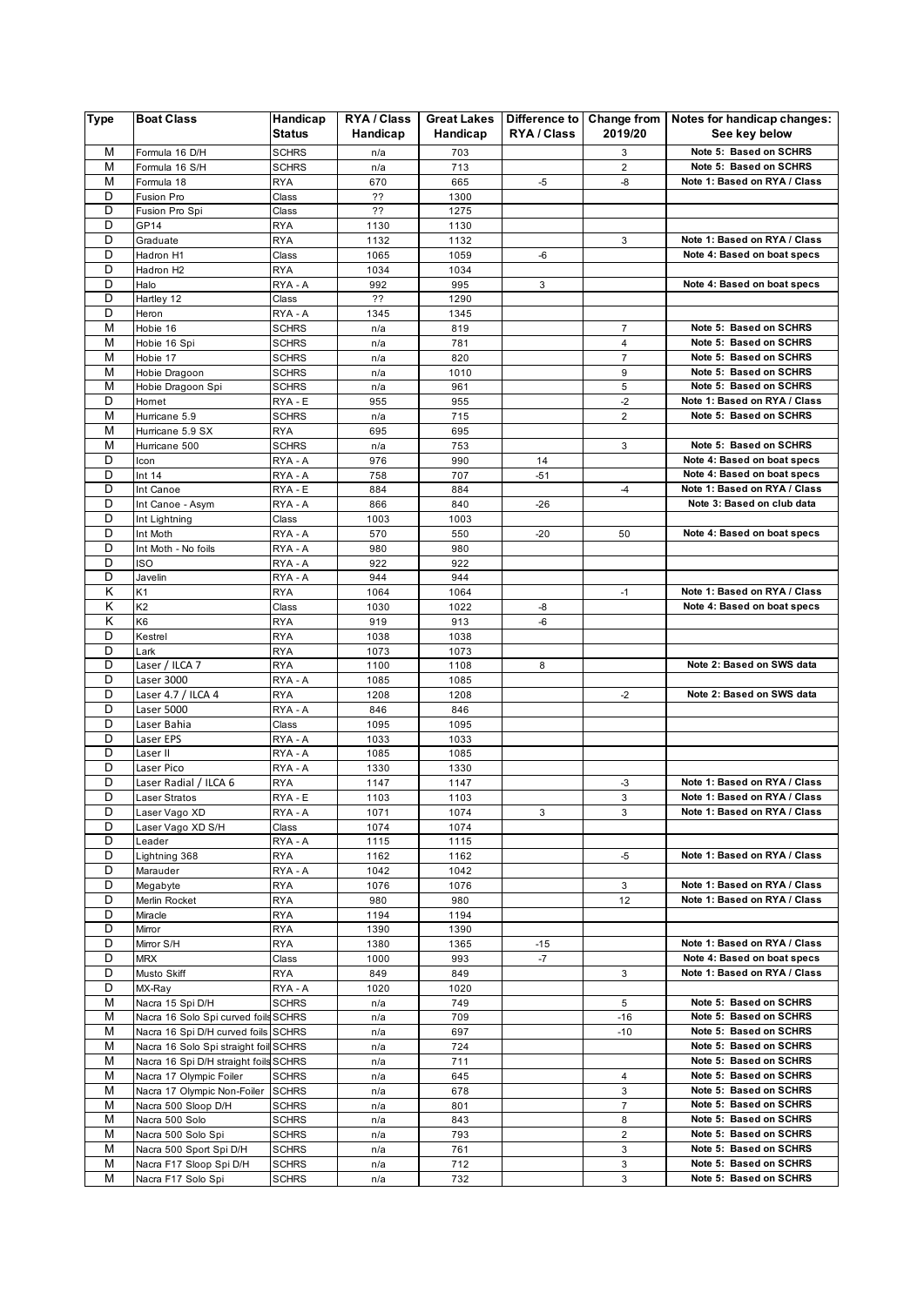| M<br>Note 5: Based on SCHRS<br>Formula 16 D/H<br><b>SCHRS</b><br>703<br>3<br>n/a<br>M<br>Note 5: Based on SCHRS<br>Formula 16 S/H<br><b>SCHRS</b><br>713<br>2<br>n/a<br>M<br>$-5$<br>-8<br><b>RYA</b><br>670<br>665<br>Note 1: Based on RYA / Class<br>Formula 18<br>D<br>Fusion Pro<br>??<br>Class<br>1300<br>D<br>??<br>1275<br>Fusion Pro Spi<br>Class<br>D<br>GP14<br><b>RYA</b><br>1130<br>1130<br>D<br>Note 1: Based on RYA / Class<br>1132<br>1132<br>3<br>Graduate<br>RYA<br>D<br>Hadron H1<br>1065<br>1059<br>Note 4: Based on boat specs<br>Class<br>-6<br>D<br>Hadron H2<br>RYA<br>1034<br>1034<br>D<br>Halo<br>$\mathbf{3}$<br>Note 4: Based on boat specs<br>RYA - A<br>992<br>995<br>D<br>Hartley 12<br>??<br>1290<br>Class<br>D<br>Heron<br>RYA - A<br>1345<br>1345<br>M<br>$\overline{7}$<br>Note 5: Based on SCHRS<br>Hobie 16<br><b>SCHRS</b><br>819<br>n/a<br>M<br>Note 5: Based on SCHRS<br>781<br>4<br>Hobie 16 Spi<br><b>SCHRS</b><br>n/a<br>M<br>$\overline{7}$<br>Note 5: Based on SCHRS<br>Hobie 17<br><b>SCHRS</b><br>820<br>n/a<br>Note 5: Based on SCHRS<br>M<br>9<br>Hobie Dragoon<br><b>SCHRS</b><br>1010<br>n/a<br>M<br>5<br><b>SCHRS</b><br>Note 5: Based on SCHRS<br>Hobie Dragoon Spi<br>n/a<br>961<br>D<br>Note 1: Based on RYA / Class<br>RYA - E<br>955<br>955<br>$-2$<br>Homet<br>M<br>Note 5: Based on SCHRS<br>715<br>2<br>Hurricane 5.9<br><b>SCHRS</b><br>n/a<br>M<br>Hurricane 5.9 SX<br>695<br>695<br>RYA<br>M<br>Note 5: Based on SCHRS<br>Hurricane 500<br><b>SCHRS</b><br>753<br>3<br>n/a<br>D<br>RYA - A<br>976<br>990<br>14<br>Note 4: Based on boat specs<br>Icon<br>D<br>Note 4: Based on boat specs<br>Int 14<br>RYA - A<br>758<br>707<br>$-51$<br>D<br>Note 1: Based on RYA / Class<br>RYA - E<br>884<br>Int Canoe<br>884<br>$-4$<br>D<br>Note 3: Based on club data<br>Int Canoe - Asym<br>RYA - A<br>840<br>$-26$<br>866<br>D<br>1003<br>1003<br>Int Lightning<br>Class<br>D<br>RYA - A<br>570<br>Int Moth<br>550<br>$-20$<br>50<br>Note 4: Based on boat specs<br>D<br>Int Moth - No foils<br>RYA - A<br>980<br>980<br>D<br><b>ISO</b><br>922<br>922<br>RYA - A<br>D<br>Javelin<br>RYA - A<br>944<br>944<br>Κ<br>K <sub>1</sub><br><b>RYA</b><br>1064<br>1064<br>$-1$<br>Note 1: Based on RYA / Class<br>Κ<br>K <sub>2</sub><br>Note 4: Based on boat specs<br>Class<br>1030<br>1022<br>-8<br>K<br>K <sub>6</sub><br><b>RYA</b><br>919<br>913<br>$-6$<br>D<br>Kestrel<br><b>RYA</b><br>1038<br>1038<br>D<br>Lark<br><b>RYA</b><br>1073<br>1073<br>D<br>Laser / ILCA 7<br><b>RYA</b><br>1100<br>1108<br>8<br>Note 2: Based on SWS data<br>D<br>Laser 3000<br>RYA - A<br>1085<br>1085<br>D<br>Laser 4.7 / ILCA 4<br>Note 2: Based on SWS data<br><b>RYA</b><br>1208<br>1208<br>$-2$<br>D<br>Laser 5000<br>RYA - A<br>846<br>846<br>D<br>Laser Bahia<br>Class<br>1095<br>1095<br>D<br>Laser EPS<br>RYA - A<br>1033<br>1033<br>D<br>Laser II<br>RYA - A<br>1085<br>1085<br>D<br>Laser Pico<br>RYA - A<br>1330<br>1330<br>D<br>Laser Radial / ILCA 6<br>Note 1: Based on RYA / Class<br>1147<br>1147<br>RYA<br>-3<br>D<br>3<br>Laser Stratos<br>RYA - E<br>1103<br>1103<br>Note 1: Based on RYA / Class<br>D<br>Laser Vago XD<br>RYA - A<br>1071<br>1074<br>3<br>3<br>Note 1: Based on RYA / Class<br>D<br>Laser Vago XD S/H<br>1074<br>1074<br>Class<br>D<br>Leader<br>RYA - A<br>1115<br>1115<br>D<br>Note 1: Based on RYA / Class<br>$-5$<br>Lightning 368<br>RYA<br>1162<br>1162<br>D<br>Marauder<br>RYA - A<br>1042<br>1042<br>D<br>Note 1: Based on RYA / Class<br>Megabyte<br><b>RYA</b><br>1076<br>1076<br>3<br>D<br>Note 1: Based on RYA / Class<br>Merlin Rocket<br>RYA<br>980<br>980<br>12<br>D<br>Miracle<br>RYA<br>1194<br>1194<br>D<br>1390<br>1390<br>Mirror<br>RYA<br>D<br>Note 1: Based on RYA / Class<br>Mirror S/H<br>RYA<br>1380<br>1365<br>-15<br>D<br>$-7$<br>Note 4: Based on boat specs<br><b>MRX</b><br>Class<br>1000<br>993<br>D<br>Note 1: Based on RYA / Class<br>Musto Skiff<br>RYA<br>849<br>849<br>3<br>D<br>MX-Ray<br>RYA - A<br>1020<br>1020<br>Note 5: Based on SCHRS<br>M<br>Nacra 15 Spi D/H<br><b>SCHRS</b><br>749<br>5<br>n/a<br>M<br>Note 5: Based on SCHRS<br>Nacra 16 Solo Spi curved foils SCHRS<br>709<br>$-16$<br>n/a<br>М<br>Note 5: Based on SCHRS<br>Nacra 16 Spi D/H curved foils SCHRS<br>697<br>$-10$<br>n/a<br>М<br>Note 5: Based on SCHRS<br>Nacra 16 Solo Spi straight foil SCHRS<br>724<br>n/a<br>Note 5: Based on SCHRS<br>M<br>Nacra 16 Spi D/H straight foils SCHRS<br>711<br>n/a<br>М<br>Nacra 17 Olympic Foiler<br>645<br>Note 5: Based on SCHRS<br><b>SCHRS</b><br>n/a<br>4<br>M<br>Note 5: Based on SCHRS<br>Nacra 17 Olympic Non-Foiler<br>3<br><b>SCHRS</b><br>678<br>n/a<br>M<br>$\overline{7}$<br>Note 5: Based on SCHRS<br>Nacra 500 Sloop D/H<br><b>SCHRS</b><br>n/a<br>801<br>М<br>Note 5: Based on SCHRS<br>Nacra 500 Solo<br><b>SCHRS</b><br>843<br>8<br>n/a<br>Note 5: Based on SCHRS<br>M<br>Nacra 500 Solo Spi<br>2<br><b>SCHRS</b><br>793<br>n/a<br>М<br>3<br>Note 5: Based on SCHRS<br>Nacra 500 Sport Spi D/H<br><b>SCHRS</b><br>761<br>n/a<br>M<br>Note 5: Based on SCHRS<br>Nacra F17 Sloop Spi D/H<br><b>SCHRS</b><br>712<br>3<br>n/a<br>М<br>3<br>Note 5: Based on SCHRS<br><b>SCHRS</b><br>732<br>Nacra F17 Solo Spi<br>n/a | <b>Type</b> | <b>Boat Class</b> | Handicap<br>Status | RYA / Class<br>Handicap | <b>Great Lakes</b><br>Handicap | RYA / Class | 2019/20 | Difference to Change from   Notes for handicap changes:<br>See key below |
|-----------------------------------------------------------------------------------------------------------------------------------------------------------------------------------------------------------------------------------------------------------------------------------------------------------------------------------------------------------------------------------------------------------------------------------------------------------------------------------------------------------------------------------------------------------------------------------------------------------------------------------------------------------------------------------------------------------------------------------------------------------------------------------------------------------------------------------------------------------------------------------------------------------------------------------------------------------------------------------------------------------------------------------------------------------------------------------------------------------------------------------------------------------------------------------------------------------------------------------------------------------------------------------------------------------------------------------------------------------------------------------------------------------------------------------------------------------------------------------------------------------------------------------------------------------------------------------------------------------------------------------------------------------------------------------------------------------------------------------------------------------------------------------------------------------------------------------------------------------------------------------------------------------------------------------------------------------------------------------------------------------------------------------------------------------------------------------------------------------------------------------------------------------------------------------------------------------------------------------------------------------------------------------------------------------------------------------------------------------------------------------------------------------------------------------------------------------------------------------------------------------------------------------------------------------------------------------------------------------------------------------------------------------------------------------------------------------------------------------------------------------------------------------------------------------------------------------------------------------------------------------------------------------------------------------------------------------------------------------------------------------------------------------------------------------------------------------------------------------------------------------------------------------------------------------------------------------------------------------------------------------------------------------------------------------------------------------------------------------------------------------------------------------------------------------------------------------------------------------------------------------------------------------------------------------------------------------------------------------------------------------------------------------------------------------------------------------------------------------------------------------------------------------------------------------------------------------------------------------------------------------------------------------------------------------------------------------------------------------------------------------------------------------------------------------------------------------------------------------------------------------------------------------------------------------------------------------------------------------------------------------------------------------------------------------------------------------------------------------------------------------------------------------------------------------------------------------------------------------------------------------------------------------------------------------------------------------------------------------------------------------------------------------------------------------------------------------------------------------------------------------------------------------------------------------------------------------------------------------------------------------------------------------------------------------------------------------------------------------------------------------------------------------------------------------------------------------------------------------------------------------------------------------------------------------------------------------------------------------------------------------------|-------------|-------------------|--------------------|-------------------------|--------------------------------|-------------|---------|--------------------------------------------------------------------------|
|                                                                                                                                                                                                                                                                                                                                                                                                                                                                                                                                                                                                                                                                                                                                                                                                                                                                                                                                                                                                                                                                                                                                                                                                                                                                                                                                                                                                                                                                                                                                                                                                                                                                                                                                                                                                                                                                                                                                                                                                                                                                                                                                                                                                                                                                                                                                                                                                                                                                                                                                                                                                                                                                                                                                                                                                                                                                                                                                                                                                                                                                                                                                                                                                                                                                                                                                                                                                                                                                                                                                                                                                                                                                                                                                                                                                                                                                                                                                                                                                                                                                                                                                                                                                                                                                                                                                                                                                                                                                                                                                                                                                                                                                                                                                                                                                                                                                                                                                                                                                                                                                                                                                                                                                                                                                 |             |                   |                    |                         |                                |             |         |                                                                          |
|                                                                                                                                                                                                                                                                                                                                                                                                                                                                                                                                                                                                                                                                                                                                                                                                                                                                                                                                                                                                                                                                                                                                                                                                                                                                                                                                                                                                                                                                                                                                                                                                                                                                                                                                                                                                                                                                                                                                                                                                                                                                                                                                                                                                                                                                                                                                                                                                                                                                                                                                                                                                                                                                                                                                                                                                                                                                                                                                                                                                                                                                                                                                                                                                                                                                                                                                                                                                                                                                                                                                                                                                                                                                                                                                                                                                                                                                                                                                                                                                                                                                                                                                                                                                                                                                                                                                                                                                                                                                                                                                                                                                                                                                                                                                                                                                                                                                                                                                                                                                                                                                                                                                                                                                                                                                 |             |                   |                    |                         |                                |             |         |                                                                          |
|                                                                                                                                                                                                                                                                                                                                                                                                                                                                                                                                                                                                                                                                                                                                                                                                                                                                                                                                                                                                                                                                                                                                                                                                                                                                                                                                                                                                                                                                                                                                                                                                                                                                                                                                                                                                                                                                                                                                                                                                                                                                                                                                                                                                                                                                                                                                                                                                                                                                                                                                                                                                                                                                                                                                                                                                                                                                                                                                                                                                                                                                                                                                                                                                                                                                                                                                                                                                                                                                                                                                                                                                                                                                                                                                                                                                                                                                                                                                                                                                                                                                                                                                                                                                                                                                                                                                                                                                                                                                                                                                                                                                                                                                                                                                                                                                                                                                                                                                                                                                                                                                                                                                                                                                                                                                 |             |                   |                    |                         |                                |             |         |                                                                          |
|                                                                                                                                                                                                                                                                                                                                                                                                                                                                                                                                                                                                                                                                                                                                                                                                                                                                                                                                                                                                                                                                                                                                                                                                                                                                                                                                                                                                                                                                                                                                                                                                                                                                                                                                                                                                                                                                                                                                                                                                                                                                                                                                                                                                                                                                                                                                                                                                                                                                                                                                                                                                                                                                                                                                                                                                                                                                                                                                                                                                                                                                                                                                                                                                                                                                                                                                                                                                                                                                                                                                                                                                                                                                                                                                                                                                                                                                                                                                                                                                                                                                                                                                                                                                                                                                                                                                                                                                                                                                                                                                                                                                                                                                                                                                                                                                                                                                                                                                                                                                                                                                                                                                                                                                                                                                 |             |                   |                    |                         |                                |             |         |                                                                          |
|                                                                                                                                                                                                                                                                                                                                                                                                                                                                                                                                                                                                                                                                                                                                                                                                                                                                                                                                                                                                                                                                                                                                                                                                                                                                                                                                                                                                                                                                                                                                                                                                                                                                                                                                                                                                                                                                                                                                                                                                                                                                                                                                                                                                                                                                                                                                                                                                                                                                                                                                                                                                                                                                                                                                                                                                                                                                                                                                                                                                                                                                                                                                                                                                                                                                                                                                                                                                                                                                                                                                                                                                                                                                                                                                                                                                                                                                                                                                                                                                                                                                                                                                                                                                                                                                                                                                                                                                                                                                                                                                                                                                                                                                                                                                                                                                                                                                                                                                                                                                                                                                                                                                                                                                                                                                 |             |                   |                    |                         |                                |             |         |                                                                          |
|                                                                                                                                                                                                                                                                                                                                                                                                                                                                                                                                                                                                                                                                                                                                                                                                                                                                                                                                                                                                                                                                                                                                                                                                                                                                                                                                                                                                                                                                                                                                                                                                                                                                                                                                                                                                                                                                                                                                                                                                                                                                                                                                                                                                                                                                                                                                                                                                                                                                                                                                                                                                                                                                                                                                                                                                                                                                                                                                                                                                                                                                                                                                                                                                                                                                                                                                                                                                                                                                                                                                                                                                                                                                                                                                                                                                                                                                                                                                                                                                                                                                                                                                                                                                                                                                                                                                                                                                                                                                                                                                                                                                                                                                                                                                                                                                                                                                                                                                                                                                                                                                                                                                                                                                                                                                 |             |                   |                    |                         |                                |             |         |                                                                          |
|                                                                                                                                                                                                                                                                                                                                                                                                                                                                                                                                                                                                                                                                                                                                                                                                                                                                                                                                                                                                                                                                                                                                                                                                                                                                                                                                                                                                                                                                                                                                                                                                                                                                                                                                                                                                                                                                                                                                                                                                                                                                                                                                                                                                                                                                                                                                                                                                                                                                                                                                                                                                                                                                                                                                                                                                                                                                                                                                                                                                                                                                                                                                                                                                                                                                                                                                                                                                                                                                                                                                                                                                                                                                                                                                                                                                                                                                                                                                                                                                                                                                                                                                                                                                                                                                                                                                                                                                                                                                                                                                                                                                                                                                                                                                                                                                                                                                                                                                                                                                                                                                                                                                                                                                                                                                 |             |                   |                    |                         |                                |             |         |                                                                          |
|                                                                                                                                                                                                                                                                                                                                                                                                                                                                                                                                                                                                                                                                                                                                                                                                                                                                                                                                                                                                                                                                                                                                                                                                                                                                                                                                                                                                                                                                                                                                                                                                                                                                                                                                                                                                                                                                                                                                                                                                                                                                                                                                                                                                                                                                                                                                                                                                                                                                                                                                                                                                                                                                                                                                                                                                                                                                                                                                                                                                                                                                                                                                                                                                                                                                                                                                                                                                                                                                                                                                                                                                                                                                                                                                                                                                                                                                                                                                                                                                                                                                                                                                                                                                                                                                                                                                                                                                                                                                                                                                                                                                                                                                                                                                                                                                                                                                                                                                                                                                                                                                                                                                                                                                                                                                 |             |                   |                    |                         |                                |             |         |                                                                          |
|                                                                                                                                                                                                                                                                                                                                                                                                                                                                                                                                                                                                                                                                                                                                                                                                                                                                                                                                                                                                                                                                                                                                                                                                                                                                                                                                                                                                                                                                                                                                                                                                                                                                                                                                                                                                                                                                                                                                                                                                                                                                                                                                                                                                                                                                                                                                                                                                                                                                                                                                                                                                                                                                                                                                                                                                                                                                                                                                                                                                                                                                                                                                                                                                                                                                                                                                                                                                                                                                                                                                                                                                                                                                                                                                                                                                                                                                                                                                                                                                                                                                                                                                                                                                                                                                                                                                                                                                                                                                                                                                                                                                                                                                                                                                                                                                                                                                                                                                                                                                                                                                                                                                                                                                                                                                 |             |                   |                    |                         |                                |             |         |                                                                          |
|                                                                                                                                                                                                                                                                                                                                                                                                                                                                                                                                                                                                                                                                                                                                                                                                                                                                                                                                                                                                                                                                                                                                                                                                                                                                                                                                                                                                                                                                                                                                                                                                                                                                                                                                                                                                                                                                                                                                                                                                                                                                                                                                                                                                                                                                                                                                                                                                                                                                                                                                                                                                                                                                                                                                                                                                                                                                                                                                                                                                                                                                                                                                                                                                                                                                                                                                                                                                                                                                                                                                                                                                                                                                                                                                                                                                                                                                                                                                                                                                                                                                                                                                                                                                                                                                                                                                                                                                                                                                                                                                                                                                                                                                                                                                                                                                                                                                                                                                                                                                                                                                                                                                                                                                                                                                 |             |                   |                    |                         |                                |             |         |                                                                          |
|                                                                                                                                                                                                                                                                                                                                                                                                                                                                                                                                                                                                                                                                                                                                                                                                                                                                                                                                                                                                                                                                                                                                                                                                                                                                                                                                                                                                                                                                                                                                                                                                                                                                                                                                                                                                                                                                                                                                                                                                                                                                                                                                                                                                                                                                                                                                                                                                                                                                                                                                                                                                                                                                                                                                                                                                                                                                                                                                                                                                                                                                                                                                                                                                                                                                                                                                                                                                                                                                                                                                                                                                                                                                                                                                                                                                                                                                                                                                                                                                                                                                                                                                                                                                                                                                                                                                                                                                                                                                                                                                                                                                                                                                                                                                                                                                                                                                                                                                                                                                                                                                                                                                                                                                                                                                 |             |                   |                    |                         |                                |             |         |                                                                          |
|                                                                                                                                                                                                                                                                                                                                                                                                                                                                                                                                                                                                                                                                                                                                                                                                                                                                                                                                                                                                                                                                                                                                                                                                                                                                                                                                                                                                                                                                                                                                                                                                                                                                                                                                                                                                                                                                                                                                                                                                                                                                                                                                                                                                                                                                                                                                                                                                                                                                                                                                                                                                                                                                                                                                                                                                                                                                                                                                                                                                                                                                                                                                                                                                                                                                                                                                                                                                                                                                                                                                                                                                                                                                                                                                                                                                                                                                                                                                                                                                                                                                                                                                                                                                                                                                                                                                                                                                                                                                                                                                                                                                                                                                                                                                                                                                                                                                                                                                                                                                                                                                                                                                                                                                                                                                 |             |                   |                    |                         |                                |             |         |                                                                          |
|                                                                                                                                                                                                                                                                                                                                                                                                                                                                                                                                                                                                                                                                                                                                                                                                                                                                                                                                                                                                                                                                                                                                                                                                                                                                                                                                                                                                                                                                                                                                                                                                                                                                                                                                                                                                                                                                                                                                                                                                                                                                                                                                                                                                                                                                                                                                                                                                                                                                                                                                                                                                                                                                                                                                                                                                                                                                                                                                                                                                                                                                                                                                                                                                                                                                                                                                                                                                                                                                                                                                                                                                                                                                                                                                                                                                                                                                                                                                                                                                                                                                                                                                                                                                                                                                                                                                                                                                                                                                                                                                                                                                                                                                                                                                                                                                                                                                                                                                                                                                                                                                                                                                                                                                                                                                 |             |                   |                    |                         |                                |             |         |                                                                          |
|                                                                                                                                                                                                                                                                                                                                                                                                                                                                                                                                                                                                                                                                                                                                                                                                                                                                                                                                                                                                                                                                                                                                                                                                                                                                                                                                                                                                                                                                                                                                                                                                                                                                                                                                                                                                                                                                                                                                                                                                                                                                                                                                                                                                                                                                                                                                                                                                                                                                                                                                                                                                                                                                                                                                                                                                                                                                                                                                                                                                                                                                                                                                                                                                                                                                                                                                                                                                                                                                                                                                                                                                                                                                                                                                                                                                                                                                                                                                                                                                                                                                                                                                                                                                                                                                                                                                                                                                                                                                                                                                                                                                                                                                                                                                                                                                                                                                                                                                                                                                                                                                                                                                                                                                                                                                 |             |                   |                    |                         |                                |             |         |                                                                          |
|                                                                                                                                                                                                                                                                                                                                                                                                                                                                                                                                                                                                                                                                                                                                                                                                                                                                                                                                                                                                                                                                                                                                                                                                                                                                                                                                                                                                                                                                                                                                                                                                                                                                                                                                                                                                                                                                                                                                                                                                                                                                                                                                                                                                                                                                                                                                                                                                                                                                                                                                                                                                                                                                                                                                                                                                                                                                                                                                                                                                                                                                                                                                                                                                                                                                                                                                                                                                                                                                                                                                                                                                                                                                                                                                                                                                                                                                                                                                                                                                                                                                                                                                                                                                                                                                                                                                                                                                                                                                                                                                                                                                                                                                                                                                                                                                                                                                                                                                                                                                                                                                                                                                                                                                                                                                 |             |                   |                    |                         |                                |             |         |                                                                          |
|                                                                                                                                                                                                                                                                                                                                                                                                                                                                                                                                                                                                                                                                                                                                                                                                                                                                                                                                                                                                                                                                                                                                                                                                                                                                                                                                                                                                                                                                                                                                                                                                                                                                                                                                                                                                                                                                                                                                                                                                                                                                                                                                                                                                                                                                                                                                                                                                                                                                                                                                                                                                                                                                                                                                                                                                                                                                                                                                                                                                                                                                                                                                                                                                                                                                                                                                                                                                                                                                                                                                                                                                                                                                                                                                                                                                                                                                                                                                                                                                                                                                                                                                                                                                                                                                                                                                                                                                                                                                                                                                                                                                                                                                                                                                                                                                                                                                                                                                                                                                                                                                                                                                                                                                                                                                 |             |                   |                    |                         |                                |             |         |                                                                          |
|                                                                                                                                                                                                                                                                                                                                                                                                                                                                                                                                                                                                                                                                                                                                                                                                                                                                                                                                                                                                                                                                                                                                                                                                                                                                                                                                                                                                                                                                                                                                                                                                                                                                                                                                                                                                                                                                                                                                                                                                                                                                                                                                                                                                                                                                                                                                                                                                                                                                                                                                                                                                                                                                                                                                                                                                                                                                                                                                                                                                                                                                                                                                                                                                                                                                                                                                                                                                                                                                                                                                                                                                                                                                                                                                                                                                                                                                                                                                                                                                                                                                                                                                                                                                                                                                                                                                                                                                                                                                                                                                                                                                                                                                                                                                                                                                                                                                                                                                                                                                                                                                                                                                                                                                                                                                 |             |                   |                    |                         |                                |             |         |                                                                          |
|                                                                                                                                                                                                                                                                                                                                                                                                                                                                                                                                                                                                                                                                                                                                                                                                                                                                                                                                                                                                                                                                                                                                                                                                                                                                                                                                                                                                                                                                                                                                                                                                                                                                                                                                                                                                                                                                                                                                                                                                                                                                                                                                                                                                                                                                                                                                                                                                                                                                                                                                                                                                                                                                                                                                                                                                                                                                                                                                                                                                                                                                                                                                                                                                                                                                                                                                                                                                                                                                                                                                                                                                                                                                                                                                                                                                                                                                                                                                                                                                                                                                                                                                                                                                                                                                                                                                                                                                                                                                                                                                                                                                                                                                                                                                                                                                                                                                                                                                                                                                                                                                                                                                                                                                                                                                 |             |                   |                    |                         |                                |             |         |                                                                          |
|                                                                                                                                                                                                                                                                                                                                                                                                                                                                                                                                                                                                                                                                                                                                                                                                                                                                                                                                                                                                                                                                                                                                                                                                                                                                                                                                                                                                                                                                                                                                                                                                                                                                                                                                                                                                                                                                                                                                                                                                                                                                                                                                                                                                                                                                                                                                                                                                                                                                                                                                                                                                                                                                                                                                                                                                                                                                                                                                                                                                                                                                                                                                                                                                                                                                                                                                                                                                                                                                                                                                                                                                                                                                                                                                                                                                                                                                                                                                                                                                                                                                                                                                                                                                                                                                                                                                                                                                                                                                                                                                                                                                                                                                                                                                                                                                                                                                                                                                                                                                                                                                                                                                                                                                                                                                 |             |                   |                    |                         |                                |             |         |                                                                          |
|                                                                                                                                                                                                                                                                                                                                                                                                                                                                                                                                                                                                                                                                                                                                                                                                                                                                                                                                                                                                                                                                                                                                                                                                                                                                                                                                                                                                                                                                                                                                                                                                                                                                                                                                                                                                                                                                                                                                                                                                                                                                                                                                                                                                                                                                                                                                                                                                                                                                                                                                                                                                                                                                                                                                                                                                                                                                                                                                                                                                                                                                                                                                                                                                                                                                                                                                                                                                                                                                                                                                                                                                                                                                                                                                                                                                                                                                                                                                                                                                                                                                                                                                                                                                                                                                                                                                                                                                                                                                                                                                                                                                                                                                                                                                                                                                                                                                                                                                                                                                                                                                                                                                                                                                                                                                 |             |                   |                    |                         |                                |             |         |                                                                          |
|                                                                                                                                                                                                                                                                                                                                                                                                                                                                                                                                                                                                                                                                                                                                                                                                                                                                                                                                                                                                                                                                                                                                                                                                                                                                                                                                                                                                                                                                                                                                                                                                                                                                                                                                                                                                                                                                                                                                                                                                                                                                                                                                                                                                                                                                                                                                                                                                                                                                                                                                                                                                                                                                                                                                                                                                                                                                                                                                                                                                                                                                                                                                                                                                                                                                                                                                                                                                                                                                                                                                                                                                                                                                                                                                                                                                                                                                                                                                                                                                                                                                                                                                                                                                                                                                                                                                                                                                                                                                                                                                                                                                                                                                                                                                                                                                                                                                                                                                                                                                                                                                                                                                                                                                                                                                 |             |                   |                    |                         |                                |             |         |                                                                          |
|                                                                                                                                                                                                                                                                                                                                                                                                                                                                                                                                                                                                                                                                                                                                                                                                                                                                                                                                                                                                                                                                                                                                                                                                                                                                                                                                                                                                                                                                                                                                                                                                                                                                                                                                                                                                                                                                                                                                                                                                                                                                                                                                                                                                                                                                                                                                                                                                                                                                                                                                                                                                                                                                                                                                                                                                                                                                                                                                                                                                                                                                                                                                                                                                                                                                                                                                                                                                                                                                                                                                                                                                                                                                                                                                                                                                                                                                                                                                                                                                                                                                                                                                                                                                                                                                                                                                                                                                                                                                                                                                                                                                                                                                                                                                                                                                                                                                                                                                                                                                                                                                                                                                                                                                                                                                 |             |                   |                    |                         |                                |             |         |                                                                          |
|                                                                                                                                                                                                                                                                                                                                                                                                                                                                                                                                                                                                                                                                                                                                                                                                                                                                                                                                                                                                                                                                                                                                                                                                                                                                                                                                                                                                                                                                                                                                                                                                                                                                                                                                                                                                                                                                                                                                                                                                                                                                                                                                                                                                                                                                                                                                                                                                                                                                                                                                                                                                                                                                                                                                                                                                                                                                                                                                                                                                                                                                                                                                                                                                                                                                                                                                                                                                                                                                                                                                                                                                                                                                                                                                                                                                                                                                                                                                                                                                                                                                                                                                                                                                                                                                                                                                                                                                                                                                                                                                                                                                                                                                                                                                                                                                                                                                                                                                                                                                                                                                                                                                                                                                                                                                 |             |                   |                    |                         |                                |             |         |                                                                          |
|                                                                                                                                                                                                                                                                                                                                                                                                                                                                                                                                                                                                                                                                                                                                                                                                                                                                                                                                                                                                                                                                                                                                                                                                                                                                                                                                                                                                                                                                                                                                                                                                                                                                                                                                                                                                                                                                                                                                                                                                                                                                                                                                                                                                                                                                                                                                                                                                                                                                                                                                                                                                                                                                                                                                                                                                                                                                                                                                                                                                                                                                                                                                                                                                                                                                                                                                                                                                                                                                                                                                                                                                                                                                                                                                                                                                                                                                                                                                                                                                                                                                                                                                                                                                                                                                                                                                                                                                                                                                                                                                                                                                                                                                                                                                                                                                                                                                                                                                                                                                                                                                                                                                                                                                                                                                 |             |                   |                    |                         |                                |             |         |                                                                          |
|                                                                                                                                                                                                                                                                                                                                                                                                                                                                                                                                                                                                                                                                                                                                                                                                                                                                                                                                                                                                                                                                                                                                                                                                                                                                                                                                                                                                                                                                                                                                                                                                                                                                                                                                                                                                                                                                                                                                                                                                                                                                                                                                                                                                                                                                                                                                                                                                                                                                                                                                                                                                                                                                                                                                                                                                                                                                                                                                                                                                                                                                                                                                                                                                                                                                                                                                                                                                                                                                                                                                                                                                                                                                                                                                                                                                                                                                                                                                                                                                                                                                                                                                                                                                                                                                                                                                                                                                                                                                                                                                                                                                                                                                                                                                                                                                                                                                                                                                                                                                                                                                                                                                                                                                                                                                 |             |                   |                    |                         |                                |             |         |                                                                          |
|                                                                                                                                                                                                                                                                                                                                                                                                                                                                                                                                                                                                                                                                                                                                                                                                                                                                                                                                                                                                                                                                                                                                                                                                                                                                                                                                                                                                                                                                                                                                                                                                                                                                                                                                                                                                                                                                                                                                                                                                                                                                                                                                                                                                                                                                                                                                                                                                                                                                                                                                                                                                                                                                                                                                                                                                                                                                                                                                                                                                                                                                                                                                                                                                                                                                                                                                                                                                                                                                                                                                                                                                                                                                                                                                                                                                                                                                                                                                                                                                                                                                                                                                                                                                                                                                                                                                                                                                                                                                                                                                                                                                                                                                                                                                                                                                                                                                                                                                                                                                                                                                                                                                                                                                                                                                 |             |                   |                    |                         |                                |             |         |                                                                          |
|                                                                                                                                                                                                                                                                                                                                                                                                                                                                                                                                                                                                                                                                                                                                                                                                                                                                                                                                                                                                                                                                                                                                                                                                                                                                                                                                                                                                                                                                                                                                                                                                                                                                                                                                                                                                                                                                                                                                                                                                                                                                                                                                                                                                                                                                                                                                                                                                                                                                                                                                                                                                                                                                                                                                                                                                                                                                                                                                                                                                                                                                                                                                                                                                                                                                                                                                                                                                                                                                                                                                                                                                                                                                                                                                                                                                                                                                                                                                                                                                                                                                                                                                                                                                                                                                                                                                                                                                                                                                                                                                                                                                                                                                                                                                                                                                                                                                                                                                                                                                                                                                                                                                                                                                                                                                 |             |                   |                    |                         |                                |             |         |                                                                          |
|                                                                                                                                                                                                                                                                                                                                                                                                                                                                                                                                                                                                                                                                                                                                                                                                                                                                                                                                                                                                                                                                                                                                                                                                                                                                                                                                                                                                                                                                                                                                                                                                                                                                                                                                                                                                                                                                                                                                                                                                                                                                                                                                                                                                                                                                                                                                                                                                                                                                                                                                                                                                                                                                                                                                                                                                                                                                                                                                                                                                                                                                                                                                                                                                                                                                                                                                                                                                                                                                                                                                                                                                                                                                                                                                                                                                                                                                                                                                                                                                                                                                                                                                                                                                                                                                                                                                                                                                                                                                                                                                                                                                                                                                                                                                                                                                                                                                                                                                                                                                                                                                                                                                                                                                                                                                 |             |                   |                    |                         |                                |             |         |                                                                          |
|                                                                                                                                                                                                                                                                                                                                                                                                                                                                                                                                                                                                                                                                                                                                                                                                                                                                                                                                                                                                                                                                                                                                                                                                                                                                                                                                                                                                                                                                                                                                                                                                                                                                                                                                                                                                                                                                                                                                                                                                                                                                                                                                                                                                                                                                                                                                                                                                                                                                                                                                                                                                                                                                                                                                                                                                                                                                                                                                                                                                                                                                                                                                                                                                                                                                                                                                                                                                                                                                                                                                                                                                                                                                                                                                                                                                                                                                                                                                                                                                                                                                                                                                                                                                                                                                                                                                                                                                                                                                                                                                                                                                                                                                                                                                                                                                                                                                                                                                                                                                                                                                                                                                                                                                                                                                 |             |                   |                    |                         |                                |             |         |                                                                          |
|                                                                                                                                                                                                                                                                                                                                                                                                                                                                                                                                                                                                                                                                                                                                                                                                                                                                                                                                                                                                                                                                                                                                                                                                                                                                                                                                                                                                                                                                                                                                                                                                                                                                                                                                                                                                                                                                                                                                                                                                                                                                                                                                                                                                                                                                                                                                                                                                                                                                                                                                                                                                                                                                                                                                                                                                                                                                                                                                                                                                                                                                                                                                                                                                                                                                                                                                                                                                                                                                                                                                                                                                                                                                                                                                                                                                                                                                                                                                                                                                                                                                                                                                                                                                                                                                                                                                                                                                                                                                                                                                                                                                                                                                                                                                                                                                                                                                                                                                                                                                                                                                                                                                                                                                                                                                 |             |                   |                    |                         |                                |             |         |                                                                          |
|                                                                                                                                                                                                                                                                                                                                                                                                                                                                                                                                                                                                                                                                                                                                                                                                                                                                                                                                                                                                                                                                                                                                                                                                                                                                                                                                                                                                                                                                                                                                                                                                                                                                                                                                                                                                                                                                                                                                                                                                                                                                                                                                                                                                                                                                                                                                                                                                                                                                                                                                                                                                                                                                                                                                                                                                                                                                                                                                                                                                                                                                                                                                                                                                                                                                                                                                                                                                                                                                                                                                                                                                                                                                                                                                                                                                                                                                                                                                                                                                                                                                                                                                                                                                                                                                                                                                                                                                                                                                                                                                                                                                                                                                                                                                                                                                                                                                                                                                                                                                                                                                                                                                                                                                                                                                 |             |                   |                    |                         |                                |             |         |                                                                          |
|                                                                                                                                                                                                                                                                                                                                                                                                                                                                                                                                                                                                                                                                                                                                                                                                                                                                                                                                                                                                                                                                                                                                                                                                                                                                                                                                                                                                                                                                                                                                                                                                                                                                                                                                                                                                                                                                                                                                                                                                                                                                                                                                                                                                                                                                                                                                                                                                                                                                                                                                                                                                                                                                                                                                                                                                                                                                                                                                                                                                                                                                                                                                                                                                                                                                                                                                                                                                                                                                                                                                                                                                                                                                                                                                                                                                                                                                                                                                                                                                                                                                                                                                                                                                                                                                                                                                                                                                                                                                                                                                                                                                                                                                                                                                                                                                                                                                                                                                                                                                                                                                                                                                                                                                                                                                 |             |                   |                    |                         |                                |             |         |                                                                          |
|                                                                                                                                                                                                                                                                                                                                                                                                                                                                                                                                                                                                                                                                                                                                                                                                                                                                                                                                                                                                                                                                                                                                                                                                                                                                                                                                                                                                                                                                                                                                                                                                                                                                                                                                                                                                                                                                                                                                                                                                                                                                                                                                                                                                                                                                                                                                                                                                                                                                                                                                                                                                                                                                                                                                                                                                                                                                                                                                                                                                                                                                                                                                                                                                                                                                                                                                                                                                                                                                                                                                                                                                                                                                                                                                                                                                                                                                                                                                                                                                                                                                                                                                                                                                                                                                                                                                                                                                                                                                                                                                                                                                                                                                                                                                                                                                                                                                                                                                                                                                                                                                                                                                                                                                                                                                 |             |                   |                    |                         |                                |             |         |                                                                          |
|                                                                                                                                                                                                                                                                                                                                                                                                                                                                                                                                                                                                                                                                                                                                                                                                                                                                                                                                                                                                                                                                                                                                                                                                                                                                                                                                                                                                                                                                                                                                                                                                                                                                                                                                                                                                                                                                                                                                                                                                                                                                                                                                                                                                                                                                                                                                                                                                                                                                                                                                                                                                                                                                                                                                                                                                                                                                                                                                                                                                                                                                                                                                                                                                                                                                                                                                                                                                                                                                                                                                                                                                                                                                                                                                                                                                                                                                                                                                                                                                                                                                                                                                                                                                                                                                                                                                                                                                                                                                                                                                                                                                                                                                                                                                                                                                                                                                                                                                                                                                                                                                                                                                                                                                                                                                 |             |                   |                    |                         |                                |             |         |                                                                          |
|                                                                                                                                                                                                                                                                                                                                                                                                                                                                                                                                                                                                                                                                                                                                                                                                                                                                                                                                                                                                                                                                                                                                                                                                                                                                                                                                                                                                                                                                                                                                                                                                                                                                                                                                                                                                                                                                                                                                                                                                                                                                                                                                                                                                                                                                                                                                                                                                                                                                                                                                                                                                                                                                                                                                                                                                                                                                                                                                                                                                                                                                                                                                                                                                                                                                                                                                                                                                                                                                                                                                                                                                                                                                                                                                                                                                                                                                                                                                                                                                                                                                                                                                                                                                                                                                                                                                                                                                                                                                                                                                                                                                                                                                                                                                                                                                                                                                                                                                                                                                                                                                                                                                                                                                                                                                 |             |                   |                    |                         |                                |             |         |                                                                          |
|                                                                                                                                                                                                                                                                                                                                                                                                                                                                                                                                                                                                                                                                                                                                                                                                                                                                                                                                                                                                                                                                                                                                                                                                                                                                                                                                                                                                                                                                                                                                                                                                                                                                                                                                                                                                                                                                                                                                                                                                                                                                                                                                                                                                                                                                                                                                                                                                                                                                                                                                                                                                                                                                                                                                                                                                                                                                                                                                                                                                                                                                                                                                                                                                                                                                                                                                                                                                                                                                                                                                                                                                                                                                                                                                                                                                                                                                                                                                                                                                                                                                                                                                                                                                                                                                                                                                                                                                                                                                                                                                                                                                                                                                                                                                                                                                                                                                                                                                                                                                                                                                                                                                                                                                                                                                 |             |                   |                    |                         |                                |             |         |                                                                          |
|                                                                                                                                                                                                                                                                                                                                                                                                                                                                                                                                                                                                                                                                                                                                                                                                                                                                                                                                                                                                                                                                                                                                                                                                                                                                                                                                                                                                                                                                                                                                                                                                                                                                                                                                                                                                                                                                                                                                                                                                                                                                                                                                                                                                                                                                                                                                                                                                                                                                                                                                                                                                                                                                                                                                                                                                                                                                                                                                                                                                                                                                                                                                                                                                                                                                                                                                                                                                                                                                                                                                                                                                                                                                                                                                                                                                                                                                                                                                                                                                                                                                                                                                                                                                                                                                                                                                                                                                                                                                                                                                                                                                                                                                                                                                                                                                                                                                                                                                                                                                                                                                                                                                                                                                                                                                 |             |                   |                    |                         |                                |             |         |                                                                          |
|                                                                                                                                                                                                                                                                                                                                                                                                                                                                                                                                                                                                                                                                                                                                                                                                                                                                                                                                                                                                                                                                                                                                                                                                                                                                                                                                                                                                                                                                                                                                                                                                                                                                                                                                                                                                                                                                                                                                                                                                                                                                                                                                                                                                                                                                                                                                                                                                                                                                                                                                                                                                                                                                                                                                                                                                                                                                                                                                                                                                                                                                                                                                                                                                                                                                                                                                                                                                                                                                                                                                                                                                                                                                                                                                                                                                                                                                                                                                                                                                                                                                                                                                                                                                                                                                                                                                                                                                                                                                                                                                                                                                                                                                                                                                                                                                                                                                                                                                                                                                                                                                                                                                                                                                                                                                 |             |                   |                    |                         |                                |             |         |                                                                          |
|                                                                                                                                                                                                                                                                                                                                                                                                                                                                                                                                                                                                                                                                                                                                                                                                                                                                                                                                                                                                                                                                                                                                                                                                                                                                                                                                                                                                                                                                                                                                                                                                                                                                                                                                                                                                                                                                                                                                                                                                                                                                                                                                                                                                                                                                                                                                                                                                                                                                                                                                                                                                                                                                                                                                                                                                                                                                                                                                                                                                                                                                                                                                                                                                                                                                                                                                                                                                                                                                                                                                                                                                                                                                                                                                                                                                                                                                                                                                                                                                                                                                                                                                                                                                                                                                                                                                                                                                                                                                                                                                                                                                                                                                                                                                                                                                                                                                                                                                                                                                                                                                                                                                                                                                                                                                 |             |                   |                    |                         |                                |             |         |                                                                          |
|                                                                                                                                                                                                                                                                                                                                                                                                                                                                                                                                                                                                                                                                                                                                                                                                                                                                                                                                                                                                                                                                                                                                                                                                                                                                                                                                                                                                                                                                                                                                                                                                                                                                                                                                                                                                                                                                                                                                                                                                                                                                                                                                                                                                                                                                                                                                                                                                                                                                                                                                                                                                                                                                                                                                                                                                                                                                                                                                                                                                                                                                                                                                                                                                                                                                                                                                                                                                                                                                                                                                                                                                                                                                                                                                                                                                                                                                                                                                                                                                                                                                                                                                                                                                                                                                                                                                                                                                                                                                                                                                                                                                                                                                                                                                                                                                                                                                                                                                                                                                                                                                                                                                                                                                                                                                 |             |                   |                    |                         |                                |             |         |                                                                          |
|                                                                                                                                                                                                                                                                                                                                                                                                                                                                                                                                                                                                                                                                                                                                                                                                                                                                                                                                                                                                                                                                                                                                                                                                                                                                                                                                                                                                                                                                                                                                                                                                                                                                                                                                                                                                                                                                                                                                                                                                                                                                                                                                                                                                                                                                                                                                                                                                                                                                                                                                                                                                                                                                                                                                                                                                                                                                                                                                                                                                                                                                                                                                                                                                                                                                                                                                                                                                                                                                                                                                                                                                                                                                                                                                                                                                                                                                                                                                                                                                                                                                                                                                                                                                                                                                                                                                                                                                                                                                                                                                                                                                                                                                                                                                                                                                                                                                                                                                                                                                                                                                                                                                                                                                                                                                 |             |                   |                    |                         |                                |             |         |                                                                          |
|                                                                                                                                                                                                                                                                                                                                                                                                                                                                                                                                                                                                                                                                                                                                                                                                                                                                                                                                                                                                                                                                                                                                                                                                                                                                                                                                                                                                                                                                                                                                                                                                                                                                                                                                                                                                                                                                                                                                                                                                                                                                                                                                                                                                                                                                                                                                                                                                                                                                                                                                                                                                                                                                                                                                                                                                                                                                                                                                                                                                                                                                                                                                                                                                                                                                                                                                                                                                                                                                                                                                                                                                                                                                                                                                                                                                                                                                                                                                                                                                                                                                                                                                                                                                                                                                                                                                                                                                                                                                                                                                                                                                                                                                                                                                                                                                                                                                                                                                                                                                                                                                                                                                                                                                                                                                 |             |                   |                    |                         |                                |             |         |                                                                          |
|                                                                                                                                                                                                                                                                                                                                                                                                                                                                                                                                                                                                                                                                                                                                                                                                                                                                                                                                                                                                                                                                                                                                                                                                                                                                                                                                                                                                                                                                                                                                                                                                                                                                                                                                                                                                                                                                                                                                                                                                                                                                                                                                                                                                                                                                                                                                                                                                                                                                                                                                                                                                                                                                                                                                                                                                                                                                                                                                                                                                                                                                                                                                                                                                                                                                                                                                                                                                                                                                                                                                                                                                                                                                                                                                                                                                                                                                                                                                                                                                                                                                                                                                                                                                                                                                                                                                                                                                                                                                                                                                                                                                                                                                                                                                                                                                                                                                                                                                                                                                                                                                                                                                                                                                                                                                 |             |                   |                    |                         |                                |             |         |                                                                          |
|                                                                                                                                                                                                                                                                                                                                                                                                                                                                                                                                                                                                                                                                                                                                                                                                                                                                                                                                                                                                                                                                                                                                                                                                                                                                                                                                                                                                                                                                                                                                                                                                                                                                                                                                                                                                                                                                                                                                                                                                                                                                                                                                                                                                                                                                                                                                                                                                                                                                                                                                                                                                                                                                                                                                                                                                                                                                                                                                                                                                                                                                                                                                                                                                                                                                                                                                                                                                                                                                                                                                                                                                                                                                                                                                                                                                                                                                                                                                                                                                                                                                                                                                                                                                                                                                                                                                                                                                                                                                                                                                                                                                                                                                                                                                                                                                                                                                                                                                                                                                                                                                                                                                                                                                                                                                 |             |                   |                    |                         |                                |             |         |                                                                          |
|                                                                                                                                                                                                                                                                                                                                                                                                                                                                                                                                                                                                                                                                                                                                                                                                                                                                                                                                                                                                                                                                                                                                                                                                                                                                                                                                                                                                                                                                                                                                                                                                                                                                                                                                                                                                                                                                                                                                                                                                                                                                                                                                                                                                                                                                                                                                                                                                                                                                                                                                                                                                                                                                                                                                                                                                                                                                                                                                                                                                                                                                                                                                                                                                                                                                                                                                                                                                                                                                                                                                                                                                                                                                                                                                                                                                                                                                                                                                                                                                                                                                                                                                                                                                                                                                                                                                                                                                                                                                                                                                                                                                                                                                                                                                                                                                                                                                                                                                                                                                                                                                                                                                                                                                                                                                 |             |                   |                    |                         |                                |             |         |                                                                          |
|                                                                                                                                                                                                                                                                                                                                                                                                                                                                                                                                                                                                                                                                                                                                                                                                                                                                                                                                                                                                                                                                                                                                                                                                                                                                                                                                                                                                                                                                                                                                                                                                                                                                                                                                                                                                                                                                                                                                                                                                                                                                                                                                                                                                                                                                                                                                                                                                                                                                                                                                                                                                                                                                                                                                                                                                                                                                                                                                                                                                                                                                                                                                                                                                                                                                                                                                                                                                                                                                                                                                                                                                                                                                                                                                                                                                                                                                                                                                                                                                                                                                                                                                                                                                                                                                                                                                                                                                                                                                                                                                                                                                                                                                                                                                                                                                                                                                                                                                                                                                                                                                                                                                                                                                                                                                 |             |                   |                    |                         |                                |             |         |                                                                          |
|                                                                                                                                                                                                                                                                                                                                                                                                                                                                                                                                                                                                                                                                                                                                                                                                                                                                                                                                                                                                                                                                                                                                                                                                                                                                                                                                                                                                                                                                                                                                                                                                                                                                                                                                                                                                                                                                                                                                                                                                                                                                                                                                                                                                                                                                                                                                                                                                                                                                                                                                                                                                                                                                                                                                                                                                                                                                                                                                                                                                                                                                                                                                                                                                                                                                                                                                                                                                                                                                                                                                                                                                                                                                                                                                                                                                                                                                                                                                                                                                                                                                                                                                                                                                                                                                                                                                                                                                                                                                                                                                                                                                                                                                                                                                                                                                                                                                                                                                                                                                                                                                                                                                                                                                                                                                 |             |                   |                    |                         |                                |             |         |                                                                          |
|                                                                                                                                                                                                                                                                                                                                                                                                                                                                                                                                                                                                                                                                                                                                                                                                                                                                                                                                                                                                                                                                                                                                                                                                                                                                                                                                                                                                                                                                                                                                                                                                                                                                                                                                                                                                                                                                                                                                                                                                                                                                                                                                                                                                                                                                                                                                                                                                                                                                                                                                                                                                                                                                                                                                                                                                                                                                                                                                                                                                                                                                                                                                                                                                                                                                                                                                                                                                                                                                                                                                                                                                                                                                                                                                                                                                                                                                                                                                                                                                                                                                                                                                                                                                                                                                                                                                                                                                                                                                                                                                                                                                                                                                                                                                                                                                                                                                                                                                                                                                                                                                                                                                                                                                                                                                 |             |                   |                    |                         |                                |             |         |                                                                          |
|                                                                                                                                                                                                                                                                                                                                                                                                                                                                                                                                                                                                                                                                                                                                                                                                                                                                                                                                                                                                                                                                                                                                                                                                                                                                                                                                                                                                                                                                                                                                                                                                                                                                                                                                                                                                                                                                                                                                                                                                                                                                                                                                                                                                                                                                                                                                                                                                                                                                                                                                                                                                                                                                                                                                                                                                                                                                                                                                                                                                                                                                                                                                                                                                                                                                                                                                                                                                                                                                                                                                                                                                                                                                                                                                                                                                                                                                                                                                                                                                                                                                                                                                                                                                                                                                                                                                                                                                                                                                                                                                                                                                                                                                                                                                                                                                                                                                                                                                                                                                                                                                                                                                                                                                                                                                 |             |                   |                    |                         |                                |             |         |                                                                          |
|                                                                                                                                                                                                                                                                                                                                                                                                                                                                                                                                                                                                                                                                                                                                                                                                                                                                                                                                                                                                                                                                                                                                                                                                                                                                                                                                                                                                                                                                                                                                                                                                                                                                                                                                                                                                                                                                                                                                                                                                                                                                                                                                                                                                                                                                                                                                                                                                                                                                                                                                                                                                                                                                                                                                                                                                                                                                                                                                                                                                                                                                                                                                                                                                                                                                                                                                                                                                                                                                                                                                                                                                                                                                                                                                                                                                                                                                                                                                                                                                                                                                                                                                                                                                                                                                                                                                                                                                                                                                                                                                                                                                                                                                                                                                                                                                                                                                                                                                                                                                                                                                                                                                                                                                                                                                 |             |                   |                    |                         |                                |             |         |                                                                          |
|                                                                                                                                                                                                                                                                                                                                                                                                                                                                                                                                                                                                                                                                                                                                                                                                                                                                                                                                                                                                                                                                                                                                                                                                                                                                                                                                                                                                                                                                                                                                                                                                                                                                                                                                                                                                                                                                                                                                                                                                                                                                                                                                                                                                                                                                                                                                                                                                                                                                                                                                                                                                                                                                                                                                                                                                                                                                                                                                                                                                                                                                                                                                                                                                                                                                                                                                                                                                                                                                                                                                                                                                                                                                                                                                                                                                                                                                                                                                                                                                                                                                                                                                                                                                                                                                                                                                                                                                                                                                                                                                                                                                                                                                                                                                                                                                                                                                                                                                                                                                                                                                                                                                                                                                                                                                 |             |                   |                    |                         |                                |             |         |                                                                          |
|                                                                                                                                                                                                                                                                                                                                                                                                                                                                                                                                                                                                                                                                                                                                                                                                                                                                                                                                                                                                                                                                                                                                                                                                                                                                                                                                                                                                                                                                                                                                                                                                                                                                                                                                                                                                                                                                                                                                                                                                                                                                                                                                                                                                                                                                                                                                                                                                                                                                                                                                                                                                                                                                                                                                                                                                                                                                                                                                                                                                                                                                                                                                                                                                                                                                                                                                                                                                                                                                                                                                                                                                                                                                                                                                                                                                                                                                                                                                                                                                                                                                                                                                                                                                                                                                                                                                                                                                                                                                                                                                                                                                                                                                                                                                                                                                                                                                                                                                                                                                                                                                                                                                                                                                                                                                 |             |                   |                    |                         |                                |             |         |                                                                          |
|                                                                                                                                                                                                                                                                                                                                                                                                                                                                                                                                                                                                                                                                                                                                                                                                                                                                                                                                                                                                                                                                                                                                                                                                                                                                                                                                                                                                                                                                                                                                                                                                                                                                                                                                                                                                                                                                                                                                                                                                                                                                                                                                                                                                                                                                                                                                                                                                                                                                                                                                                                                                                                                                                                                                                                                                                                                                                                                                                                                                                                                                                                                                                                                                                                                                                                                                                                                                                                                                                                                                                                                                                                                                                                                                                                                                                                                                                                                                                                                                                                                                                                                                                                                                                                                                                                                                                                                                                                                                                                                                                                                                                                                                                                                                                                                                                                                                                                                                                                                                                                                                                                                                                                                                                                                                 |             |                   |                    |                         |                                |             |         |                                                                          |
|                                                                                                                                                                                                                                                                                                                                                                                                                                                                                                                                                                                                                                                                                                                                                                                                                                                                                                                                                                                                                                                                                                                                                                                                                                                                                                                                                                                                                                                                                                                                                                                                                                                                                                                                                                                                                                                                                                                                                                                                                                                                                                                                                                                                                                                                                                                                                                                                                                                                                                                                                                                                                                                                                                                                                                                                                                                                                                                                                                                                                                                                                                                                                                                                                                                                                                                                                                                                                                                                                                                                                                                                                                                                                                                                                                                                                                                                                                                                                                                                                                                                                                                                                                                                                                                                                                                                                                                                                                                                                                                                                                                                                                                                                                                                                                                                                                                                                                                                                                                                                                                                                                                                                                                                                                                                 |             |                   |                    |                         |                                |             |         |                                                                          |
|                                                                                                                                                                                                                                                                                                                                                                                                                                                                                                                                                                                                                                                                                                                                                                                                                                                                                                                                                                                                                                                                                                                                                                                                                                                                                                                                                                                                                                                                                                                                                                                                                                                                                                                                                                                                                                                                                                                                                                                                                                                                                                                                                                                                                                                                                                                                                                                                                                                                                                                                                                                                                                                                                                                                                                                                                                                                                                                                                                                                                                                                                                                                                                                                                                                                                                                                                                                                                                                                                                                                                                                                                                                                                                                                                                                                                                                                                                                                                                                                                                                                                                                                                                                                                                                                                                                                                                                                                                                                                                                                                                                                                                                                                                                                                                                                                                                                                                                                                                                                                                                                                                                                                                                                                                                                 |             |                   |                    |                         |                                |             |         |                                                                          |
|                                                                                                                                                                                                                                                                                                                                                                                                                                                                                                                                                                                                                                                                                                                                                                                                                                                                                                                                                                                                                                                                                                                                                                                                                                                                                                                                                                                                                                                                                                                                                                                                                                                                                                                                                                                                                                                                                                                                                                                                                                                                                                                                                                                                                                                                                                                                                                                                                                                                                                                                                                                                                                                                                                                                                                                                                                                                                                                                                                                                                                                                                                                                                                                                                                                                                                                                                                                                                                                                                                                                                                                                                                                                                                                                                                                                                                                                                                                                                                                                                                                                                                                                                                                                                                                                                                                                                                                                                                                                                                                                                                                                                                                                                                                                                                                                                                                                                                                                                                                                                                                                                                                                                                                                                                                                 |             |                   |                    |                         |                                |             |         |                                                                          |
|                                                                                                                                                                                                                                                                                                                                                                                                                                                                                                                                                                                                                                                                                                                                                                                                                                                                                                                                                                                                                                                                                                                                                                                                                                                                                                                                                                                                                                                                                                                                                                                                                                                                                                                                                                                                                                                                                                                                                                                                                                                                                                                                                                                                                                                                                                                                                                                                                                                                                                                                                                                                                                                                                                                                                                                                                                                                                                                                                                                                                                                                                                                                                                                                                                                                                                                                                                                                                                                                                                                                                                                                                                                                                                                                                                                                                                                                                                                                                                                                                                                                                                                                                                                                                                                                                                                                                                                                                                                                                                                                                                                                                                                                                                                                                                                                                                                                                                                                                                                                                                                                                                                                                                                                                                                                 |             |                   |                    |                         |                                |             |         |                                                                          |
|                                                                                                                                                                                                                                                                                                                                                                                                                                                                                                                                                                                                                                                                                                                                                                                                                                                                                                                                                                                                                                                                                                                                                                                                                                                                                                                                                                                                                                                                                                                                                                                                                                                                                                                                                                                                                                                                                                                                                                                                                                                                                                                                                                                                                                                                                                                                                                                                                                                                                                                                                                                                                                                                                                                                                                                                                                                                                                                                                                                                                                                                                                                                                                                                                                                                                                                                                                                                                                                                                                                                                                                                                                                                                                                                                                                                                                                                                                                                                                                                                                                                                                                                                                                                                                                                                                                                                                                                                                                                                                                                                                                                                                                                                                                                                                                                                                                                                                                                                                                                                                                                                                                                                                                                                                                                 |             |                   |                    |                         |                                |             |         |                                                                          |
|                                                                                                                                                                                                                                                                                                                                                                                                                                                                                                                                                                                                                                                                                                                                                                                                                                                                                                                                                                                                                                                                                                                                                                                                                                                                                                                                                                                                                                                                                                                                                                                                                                                                                                                                                                                                                                                                                                                                                                                                                                                                                                                                                                                                                                                                                                                                                                                                                                                                                                                                                                                                                                                                                                                                                                                                                                                                                                                                                                                                                                                                                                                                                                                                                                                                                                                                                                                                                                                                                                                                                                                                                                                                                                                                                                                                                                                                                                                                                                                                                                                                                                                                                                                                                                                                                                                                                                                                                                                                                                                                                                                                                                                                                                                                                                                                                                                                                                                                                                                                                                                                                                                                                                                                                                                                 |             |                   |                    |                         |                                |             |         |                                                                          |
|                                                                                                                                                                                                                                                                                                                                                                                                                                                                                                                                                                                                                                                                                                                                                                                                                                                                                                                                                                                                                                                                                                                                                                                                                                                                                                                                                                                                                                                                                                                                                                                                                                                                                                                                                                                                                                                                                                                                                                                                                                                                                                                                                                                                                                                                                                                                                                                                                                                                                                                                                                                                                                                                                                                                                                                                                                                                                                                                                                                                                                                                                                                                                                                                                                                                                                                                                                                                                                                                                                                                                                                                                                                                                                                                                                                                                                                                                                                                                                                                                                                                                                                                                                                                                                                                                                                                                                                                                                                                                                                                                                                                                                                                                                                                                                                                                                                                                                                                                                                                                                                                                                                                                                                                                                                                 |             |                   |                    |                         |                                |             |         |                                                                          |
|                                                                                                                                                                                                                                                                                                                                                                                                                                                                                                                                                                                                                                                                                                                                                                                                                                                                                                                                                                                                                                                                                                                                                                                                                                                                                                                                                                                                                                                                                                                                                                                                                                                                                                                                                                                                                                                                                                                                                                                                                                                                                                                                                                                                                                                                                                                                                                                                                                                                                                                                                                                                                                                                                                                                                                                                                                                                                                                                                                                                                                                                                                                                                                                                                                                                                                                                                                                                                                                                                                                                                                                                                                                                                                                                                                                                                                                                                                                                                                                                                                                                                                                                                                                                                                                                                                                                                                                                                                                                                                                                                                                                                                                                                                                                                                                                                                                                                                                                                                                                                                                                                                                                                                                                                                                                 |             |                   |                    |                         |                                |             |         |                                                                          |
|                                                                                                                                                                                                                                                                                                                                                                                                                                                                                                                                                                                                                                                                                                                                                                                                                                                                                                                                                                                                                                                                                                                                                                                                                                                                                                                                                                                                                                                                                                                                                                                                                                                                                                                                                                                                                                                                                                                                                                                                                                                                                                                                                                                                                                                                                                                                                                                                                                                                                                                                                                                                                                                                                                                                                                                                                                                                                                                                                                                                                                                                                                                                                                                                                                                                                                                                                                                                                                                                                                                                                                                                                                                                                                                                                                                                                                                                                                                                                                                                                                                                                                                                                                                                                                                                                                                                                                                                                                                                                                                                                                                                                                                                                                                                                                                                                                                                                                                                                                                                                                                                                                                                                                                                                                                                 |             |                   |                    |                         |                                |             |         |                                                                          |
|                                                                                                                                                                                                                                                                                                                                                                                                                                                                                                                                                                                                                                                                                                                                                                                                                                                                                                                                                                                                                                                                                                                                                                                                                                                                                                                                                                                                                                                                                                                                                                                                                                                                                                                                                                                                                                                                                                                                                                                                                                                                                                                                                                                                                                                                                                                                                                                                                                                                                                                                                                                                                                                                                                                                                                                                                                                                                                                                                                                                                                                                                                                                                                                                                                                                                                                                                                                                                                                                                                                                                                                                                                                                                                                                                                                                                                                                                                                                                                                                                                                                                                                                                                                                                                                                                                                                                                                                                                                                                                                                                                                                                                                                                                                                                                                                                                                                                                                                                                                                                                                                                                                                                                                                                                                                 |             |                   |                    |                         |                                |             |         |                                                                          |
|                                                                                                                                                                                                                                                                                                                                                                                                                                                                                                                                                                                                                                                                                                                                                                                                                                                                                                                                                                                                                                                                                                                                                                                                                                                                                                                                                                                                                                                                                                                                                                                                                                                                                                                                                                                                                                                                                                                                                                                                                                                                                                                                                                                                                                                                                                                                                                                                                                                                                                                                                                                                                                                                                                                                                                                                                                                                                                                                                                                                                                                                                                                                                                                                                                                                                                                                                                                                                                                                                                                                                                                                                                                                                                                                                                                                                                                                                                                                                                                                                                                                                                                                                                                                                                                                                                                                                                                                                                                                                                                                                                                                                                                                                                                                                                                                                                                                                                                                                                                                                                                                                                                                                                                                                                                                 |             |                   |                    |                         |                                |             |         |                                                                          |
|                                                                                                                                                                                                                                                                                                                                                                                                                                                                                                                                                                                                                                                                                                                                                                                                                                                                                                                                                                                                                                                                                                                                                                                                                                                                                                                                                                                                                                                                                                                                                                                                                                                                                                                                                                                                                                                                                                                                                                                                                                                                                                                                                                                                                                                                                                                                                                                                                                                                                                                                                                                                                                                                                                                                                                                                                                                                                                                                                                                                                                                                                                                                                                                                                                                                                                                                                                                                                                                                                                                                                                                                                                                                                                                                                                                                                                                                                                                                                                                                                                                                                                                                                                                                                                                                                                                                                                                                                                                                                                                                                                                                                                                                                                                                                                                                                                                                                                                                                                                                                                                                                                                                                                                                                                                                 |             |                   |                    |                         |                                |             |         |                                                                          |
|                                                                                                                                                                                                                                                                                                                                                                                                                                                                                                                                                                                                                                                                                                                                                                                                                                                                                                                                                                                                                                                                                                                                                                                                                                                                                                                                                                                                                                                                                                                                                                                                                                                                                                                                                                                                                                                                                                                                                                                                                                                                                                                                                                                                                                                                                                                                                                                                                                                                                                                                                                                                                                                                                                                                                                                                                                                                                                                                                                                                                                                                                                                                                                                                                                                                                                                                                                                                                                                                                                                                                                                                                                                                                                                                                                                                                                                                                                                                                                                                                                                                                                                                                                                                                                                                                                                                                                                                                                                                                                                                                                                                                                                                                                                                                                                                                                                                                                                                                                                                                                                                                                                                                                                                                                                                 |             |                   |                    |                         |                                |             |         |                                                                          |
|                                                                                                                                                                                                                                                                                                                                                                                                                                                                                                                                                                                                                                                                                                                                                                                                                                                                                                                                                                                                                                                                                                                                                                                                                                                                                                                                                                                                                                                                                                                                                                                                                                                                                                                                                                                                                                                                                                                                                                                                                                                                                                                                                                                                                                                                                                                                                                                                                                                                                                                                                                                                                                                                                                                                                                                                                                                                                                                                                                                                                                                                                                                                                                                                                                                                                                                                                                                                                                                                                                                                                                                                                                                                                                                                                                                                                                                                                                                                                                                                                                                                                                                                                                                                                                                                                                                                                                                                                                                                                                                                                                                                                                                                                                                                                                                                                                                                                                                                                                                                                                                                                                                                                                                                                                                                 |             |                   |                    |                         |                                |             |         |                                                                          |
|                                                                                                                                                                                                                                                                                                                                                                                                                                                                                                                                                                                                                                                                                                                                                                                                                                                                                                                                                                                                                                                                                                                                                                                                                                                                                                                                                                                                                                                                                                                                                                                                                                                                                                                                                                                                                                                                                                                                                                                                                                                                                                                                                                                                                                                                                                                                                                                                                                                                                                                                                                                                                                                                                                                                                                                                                                                                                                                                                                                                                                                                                                                                                                                                                                                                                                                                                                                                                                                                                                                                                                                                                                                                                                                                                                                                                                                                                                                                                                                                                                                                                                                                                                                                                                                                                                                                                                                                                                                                                                                                                                                                                                                                                                                                                                                                                                                                                                                                                                                                                                                                                                                                                                                                                                                                 |             |                   |                    |                         |                                |             |         |                                                                          |
|                                                                                                                                                                                                                                                                                                                                                                                                                                                                                                                                                                                                                                                                                                                                                                                                                                                                                                                                                                                                                                                                                                                                                                                                                                                                                                                                                                                                                                                                                                                                                                                                                                                                                                                                                                                                                                                                                                                                                                                                                                                                                                                                                                                                                                                                                                                                                                                                                                                                                                                                                                                                                                                                                                                                                                                                                                                                                                                                                                                                                                                                                                                                                                                                                                                                                                                                                                                                                                                                                                                                                                                                                                                                                                                                                                                                                                                                                                                                                                                                                                                                                                                                                                                                                                                                                                                                                                                                                                                                                                                                                                                                                                                                                                                                                                                                                                                                                                                                                                                                                                                                                                                                                                                                                                                                 |             |                   |                    |                         |                                |             |         |                                                                          |
|                                                                                                                                                                                                                                                                                                                                                                                                                                                                                                                                                                                                                                                                                                                                                                                                                                                                                                                                                                                                                                                                                                                                                                                                                                                                                                                                                                                                                                                                                                                                                                                                                                                                                                                                                                                                                                                                                                                                                                                                                                                                                                                                                                                                                                                                                                                                                                                                                                                                                                                                                                                                                                                                                                                                                                                                                                                                                                                                                                                                                                                                                                                                                                                                                                                                                                                                                                                                                                                                                                                                                                                                                                                                                                                                                                                                                                                                                                                                                                                                                                                                                                                                                                                                                                                                                                                                                                                                                                                                                                                                                                                                                                                                                                                                                                                                                                                                                                                                                                                                                                                                                                                                                                                                                                                                 |             |                   |                    |                         |                                |             |         |                                                                          |
|                                                                                                                                                                                                                                                                                                                                                                                                                                                                                                                                                                                                                                                                                                                                                                                                                                                                                                                                                                                                                                                                                                                                                                                                                                                                                                                                                                                                                                                                                                                                                                                                                                                                                                                                                                                                                                                                                                                                                                                                                                                                                                                                                                                                                                                                                                                                                                                                                                                                                                                                                                                                                                                                                                                                                                                                                                                                                                                                                                                                                                                                                                                                                                                                                                                                                                                                                                                                                                                                                                                                                                                                                                                                                                                                                                                                                                                                                                                                                                                                                                                                                                                                                                                                                                                                                                                                                                                                                                                                                                                                                                                                                                                                                                                                                                                                                                                                                                                                                                                                                                                                                                                                                                                                                                                                 |             |                   |                    |                         |                                |             |         |                                                                          |
|                                                                                                                                                                                                                                                                                                                                                                                                                                                                                                                                                                                                                                                                                                                                                                                                                                                                                                                                                                                                                                                                                                                                                                                                                                                                                                                                                                                                                                                                                                                                                                                                                                                                                                                                                                                                                                                                                                                                                                                                                                                                                                                                                                                                                                                                                                                                                                                                                                                                                                                                                                                                                                                                                                                                                                                                                                                                                                                                                                                                                                                                                                                                                                                                                                                                                                                                                                                                                                                                                                                                                                                                                                                                                                                                                                                                                                                                                                                                                                                                                                                                                                                                                                                                                                                                                                                                                                                                                                                                                                                                                                                                                                                                                                                                                                                                                                                                                                                                                                                                                                                                                                                                                                                                                                                                 |             |                   |                    |                         |                                |             |         |                                                                          |
|                                                                                                                                                                                                                                                                                                                                                                                                                                                                                                                                                                                                                                                                                                                                                                                                                                                                                                                                                                                                                                                                                                                                                                                                                                                                                                                                                                                                                                                                                                                                                                                                                                                                                                                                                                                                                                                                                                                                                                                                                                                                                                                                                                                                                                                                                                                                                                                                                                                                                                                                                                                                                                                                                                                                                                                                                                                                                                                                                                                                                                                                                                                                                                                                                                                                                                                                                                                                                                                                                                                                                                                                                                                                                                                                                                                                                                                                                                                                                                                                                                                                                                                                                                                                                                                                                                                                                                                                                                                                                                                                                                                                                                                                                                                                                                                                                                                                                                                                                                                                                                                                                                                                                                                                                                                                 |             |                   |                    |                         |                                |             |         |                                                                          |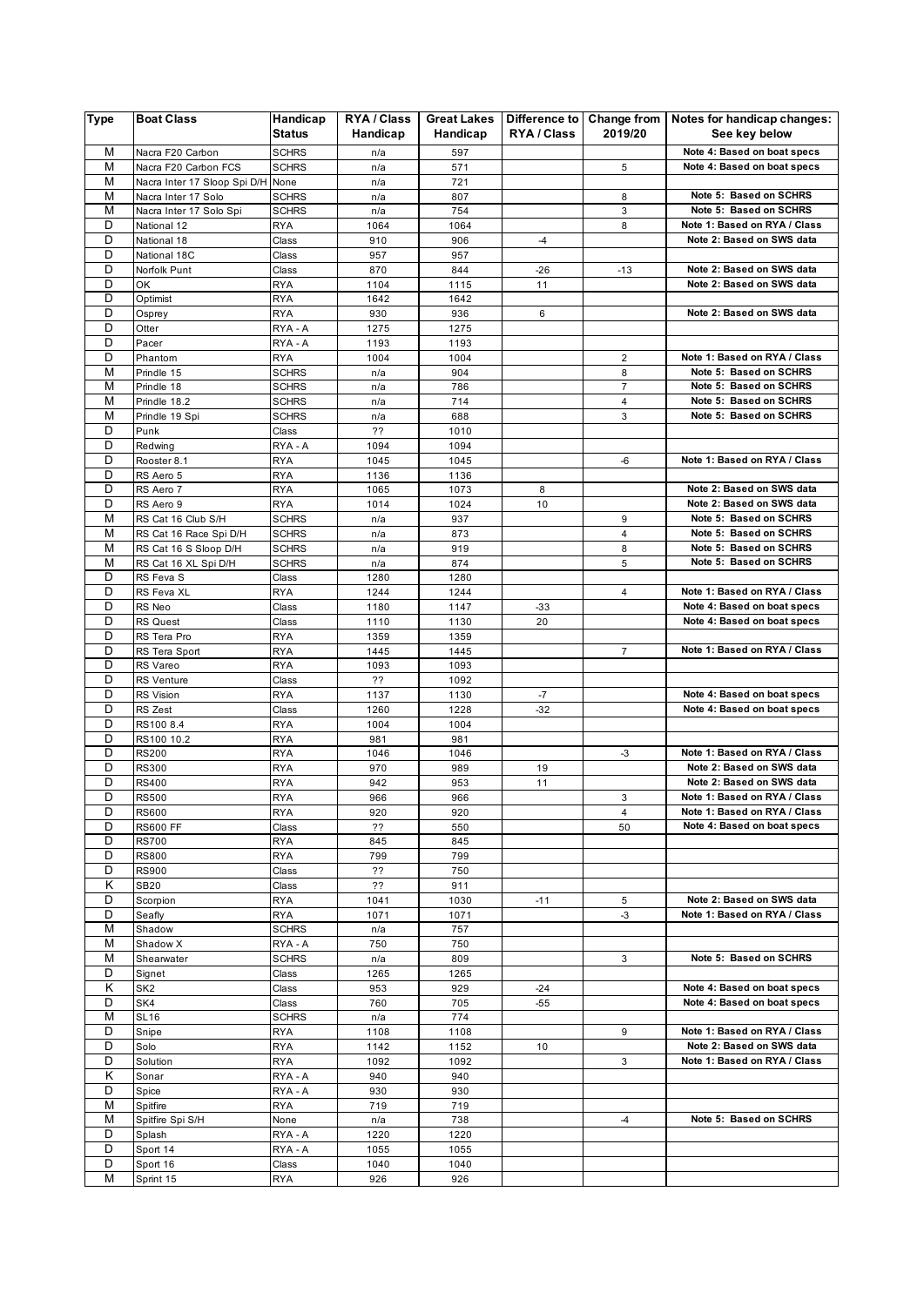| <b>Type</b> | <b>Boat Class</b>                        | Handicap<br><b>Status</b>    | RYA / Class<br>Handicap | <b>Great Lakes</b><br>Handicap | Difference to Change from<br>RYA / Class | 2019/20        | Notes for handicap changes:<br>See key below |
|-------------|------------------------------------------|------------------------------|-------------------------|--------------------------------|------------------------------------------|----------------|----------------------------------------------|
| M           |                                          |                              |                         |                                |                                          |                | Note 4: Based on boat specs                  |
| M           | Nacra F20 Carbon<br>Nacra F20 Carbon FCS | <b>SCHRS</b><br><b>SCHRS</b> | n/a<br>n/a              | 597<br>571                     |                                          | 5              | Note 4: Based on boat specs                  |
| M           | Nacra Inter 17 Sloop Spi D/H             | None                         | n/a                     | 721                            |                                          |                |                                              |
| M           | Nacra Inter 17 Solo                      |                              | n/a                     | 807                            |                                          | 8              | Note 5: Based on SCHRS                       |
| M           | Nacra Inter 17 Solo Spi                  | <b>SCHRS</b><br><b>SCHRS</b> | n/a                     | 754                            |                                          | 3              | Note 5: Based on SCHRS                       |
| D           | National 12                              | <b>RYA</b>                   | 1064                    | 1064                           |                                          | 8              | Note 1: Based on RYA / Class                 |
| D           | National 18                              | Class                        | 910                     | 906                            | $-4$                                     |                | Note 2: Based on SWS data                    |
| D           | National 18C                             | Class                        | 957                     | 957                            |                                          |                |                                              |
| D           |                                          |                              | 870                     | 844                            | $-26$                                    | $-13$          | Note 2: Based on SWS data                    |
| D           | Norfolk Punt<br>OK                       | Class<br><b>RYA</b>          | 1104                    | 1115                           | 11                                       |                | Note 2: Based on SWS data                    |
| D           | Optimist                                 | <b>RYA</b>                   | 1642                    | 1642                           |                                          |                |                                              |
| D           | Osprey                                   | <b>RYA</b>                   | 930                     | 936                            | 6                                        |                | Note 2: Based on SWS data                    |
| D           | Otter                                    | RYA - A                      | 1275                    | 1275                           |                                          |                |                                              |
| D           | Pacer                                    | RYA - A                      | 1193                    | 1193                           |                                          |                |                                              |
| D           | Phantom                                  | <b>RYA</b>                   | 1004                    | 1004                           |                                          | $\overline{2}$ | Note 1: Based on RYA / Class                 |
| M           | Prindle 15                               | <b>SCHRS</b>                 | n/a                     | 904                            |                                          | 8              | Note 5: Based on SCHRS                       |
| M           | Prindle 18                               | <b>SCHRS</b>                 | n/a                     | 786                            |                                          | $\overline{7}$ | Note 5: Based on SCHRS                       |
| M           | Prindle 18.2                             | <b>SCHRS</b>                 | n/a                     | 714                            |                                          | 4              | Note 5: Based on SCHRS                       |
| M           | Prindle 19 Spi                           | <b>SCHRS</b>                 | n/a                     | 688                            |                                          | 3              | Note 5: Based on SCHRS                       |
| D           | Punk                                     | Class                        | ??                      | 1010                           |                                          |                |                                              |
| D           | Redwing                                  | RYA - A                      | 1094                    | 1094                           |                                          |                |                                              |
| D           | Rooster 8.1                              | <b>RYA</b>                   | 1045                    | 1045                           |                                          | -6             | Note 1: Based on RYA / Class                 |
| D           | RS Aero 5                                | <b>RYA</b>                   | 1136                    | 1136                           |                                          |                |                                              |
| D           | RS Aero 7                                | <b>RYA</b>                   | 1065                    | 1073                           | 8                                        |                | Note 2: Based on SWS data                    |
| D           | RS Aero 9                                | <b>RYA</b>                   | 1014                    | 1024                           | 10                                       |                | Note 2: Based on SWS data                    |
| M           | RS Cat 16 Club S/H                       | <b>SCHRS</b>                 | n/a                     | 937                            |                                          | 9              | Note 5: Based on SCHRS                       |
| M           | RS Cat 16 Race Spi D/H                   | <b>SCHRS</b>                 | n/a                     | 873                            |                                          | 4              | Note 5: Based on SCHRS                       |
| M           | RS Cat 16 S Sloop D/H                    | <b>SCHRS</b>                 | n/a                     | 919                            |                                          | 8              | Note 5: Based on SCHRS                       |
| M           | RS Cat 16 XL Spi D/H                     | <b>SCHRS</b>                 | n/a                     | 874                            |                                          | 5              | Note 5: Based on SCHRS                       |
| D           | RS Feva S                                | Class                        | 1280                    | 1280                           |                                          |                |                                              |
| D           | RS Feva XL                               | <b>RYA</b>                   | 1244                    | 1244                           |                                          | 4              | Note 1: Based on RYA / Class                 |
| D           | RS Neo                                   | Class                        | 1180                    | 1147                           | $-33$                                    |                | Note 4: Based on boat specs                  |
| D           | <b>RS Quest</b>                          | Class                        | 1110                    | 1130                           | 20                                       |                | Note 4: Based on boat specs                  |
| D           | RS Tera Pro                              | <b>RYA</b>                   | 1359                    | 1359                           |                                          |                |                                              |
| D           | RS Tera Sport                            | <b>RYA</b>                   | 1445                    | 1445                           |                                          | $\overline{7}$ | Note 1: Based on RYA / Class                 |
| D           | RS Vareo                                 | <b>RYA</b>                   | 1093                    | 1093                           |                                          |                |                                              |
| D           | <b>RS Venture</b>                        | Class                        | ??                      | 1092                           |                                          |                |                                              |
| D           | RS Vision                                | <b>RYA</b>                   | 1137                    | 1130                           | $-7$                                     |                | Note 4: Based on boat specs                  |
| D           | RS Zest                                  | Class                        | 1260                    | 1228                           | $-32$                                    |                | Note 4: Based on boat specs                  |
| D           | RS100 8.4                                | <b>RYA</b>                   | 1004                    | 1004                           |                                          |                |                                              |
| D           | RS100 10.2                               | <b>RYA</b>                   | 981                     | 981                            |                                          |                |                                              |
| D           | <b>RS200</b>                             | <b>RYA</b>                   | 1046                    | 1046                           |                                          | $-3$           | Note 1: Based on RYA / Class                 |
| D           | <b>RS300</b>                             | RYA                          | 970                     | 989                            | 19                                       |                | Note 2: Based on SWS data                    |
| D           | RS400                                    | <b>RYA</b>                   | 942                     | 953                            | 11                                       |                | Note 2: Based on SWS data                    |
| D           | <b>RS500</b>                             | <b>RYA</b>                   | 966                     | 966                            |                                          | 3              | Note 1: Based on RYA / Class                 |
| D           | <b>RS600</b>                             | RYA                          | 920                     | 920                            |                                          | 4              | Note 1: Based on RYA / Class                 |
| D           | RS600 FF                                 | Class                        | ??                      | 550                            |                                          | 50             | Note 4: Based on boat specs                  |
| D           | <b>RS700</b>                             | <b>RYA</b>                   | 845                     | 845                            |                                          |                |                                              |
| D           | <b>RS800</b>                             | <b>RYA</b>                   | 799                     | 799                            |                                          |                |                                              |
| D           | <b>RS900</b>                             | Class                        | ??                      | 750                            |                                          |                |                                              |
| Κ           | <b>SB20</b>                              | Class                        | ??                      | 911                            |                                          |                |                                              |
| D           | Scorpion                                 | <b>RYA</b>                   | 1041                    | 1030                           | -11                                      | 5              | Note 2: Based on SWS data                    |
| D           | Seafly                                   | <b>RYA</b>                   | 1071                    | 1071                           |                                          | $-3$           | Note 1: Based on RYA / Class                 |
| M           | Shadow                                   | <b>SCHRS</b>                 | n/a                     | 757                            |                                          |                |                                              |
| M           | Shadow X                                 | RYA - A                      | 750                     | 750                            |                                          |                |                                              |
| M           | Shearwater                               | <b>SCHRS</b>                 | n/a                     | 809                            |                                          | 3              | Note 5: Based on SCHRS                       |
| D           | Signet                                   | Class                        | 1265                    | 1265                           |                                          |                |                                              |
| κ           | SK <sub>2</sub>                          | Class                        | 953                     | 929                            | $-24$                                    |                | Note 4: Based on boat specs                  |
| D           | SK4                                      | Class                        | 760                     | 705                            | $-55$                                    |                | Note 4: Based on boat specs                  |
| M           | <b>SL16</b>                              | <b>SCHRS</b>                 | n/a                     | 774                            |                                          |                |                                              |
| D           | Snipe                                    | RYA                          | 1108                    | 1108                           |                                          | 9              | Note 1: Based on RYA / Class                 |
| D           | Solo                                     | RYA                          | 1142                    | 1152                           | 10                                       |                | Note 2: Based on SWS data                    |
| D           | Solution                                 | <b>RYA</b>                   | 1092                    | 1092                           |                                          | 3              | Note 1: Based on RYA / Class                 |
| Κ           | Sonar                                    | RYA - A                      | 940                     | 940                            |                                          |                |                                              |
| D           | Spice                                    | RYA - A                      | 930                     | 930                            |                                          |                |                                              |
| M           | Spitfire                                 | <b>RYA</b>                   | 719                     | 719                            |                                          |                |                                              |
| M           | Spitfire Spi S/H                         | None                         | n/a                     | 738                            |                                          | $-4$           | Note 5: Based on SCHRS                       |
| D           | Splash                                   | RYA - A                      | 1220                    | 1220                           |                                          |                |                                              |
| D           | Sport 14                                 | RYA - A                      | 1055                    | 1055                           |                                          |                |                                              |
| D           | Sport 16                                 | Class                        | 1040                    | 1040                           |                                          |                |                                              |
| М           | Sprint 15                                | <b>RYA</b>                   | 926                     | 926                            |                                          |                |                                              |